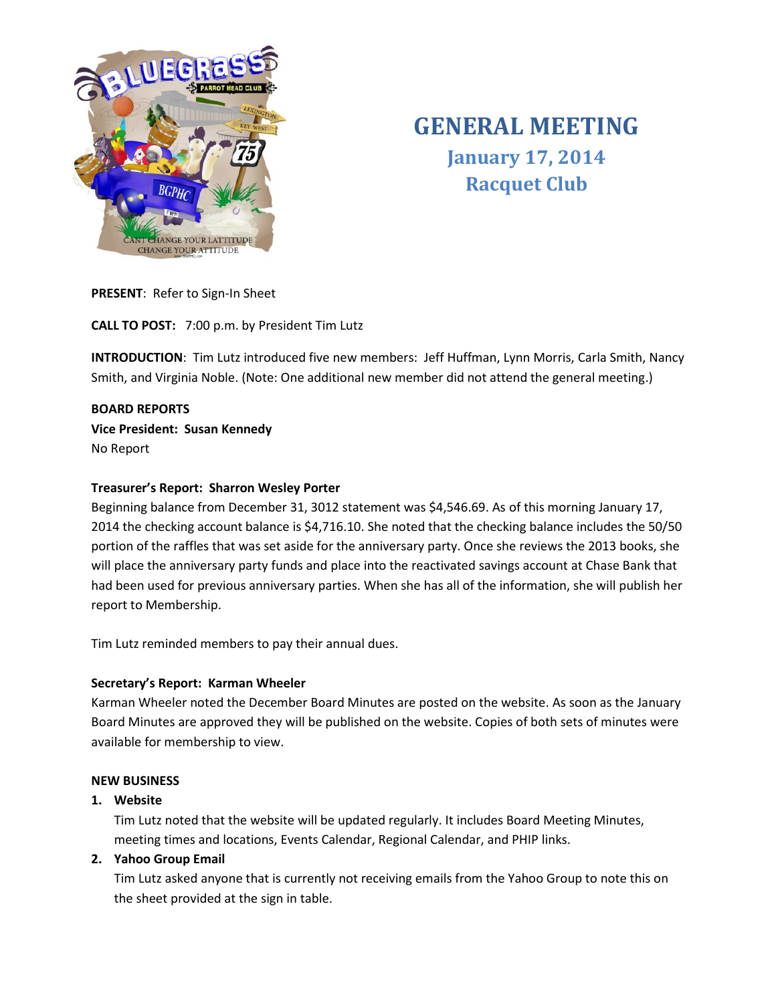

# **GENERAL MEETING January 17, 2014 Racquet Club**

**PRESENT**: Refer to Sign-In Sheet

**CALL TO POST:** 7:00 p.m. by President Tim Lutz

**INTRODUCTION**: Tim Lutz introduced five new members: Jeff Huffman, Lynn Morris, Carla Smith, Nancy Smith, and Virginia Noble. (Note: One additional new member did not attend the general meeting.)

## **BOARD REPORTS Vice President: Susan Kennedy** No Report

## **Treasurer's Report: Sharron Wesley Porter**

Beginning balance from December 31, 3012 statement was \$4,546.69. As of this morning January 17, 2014 the checking account balance is \$4,716.10. She noted that the checking balance includes the 50/50 portion of the raffles that was set aside for the anniversary party. Once she reviews the 2013 books, she will place the anniversary party funds and place into the reactivated savings account at Chase Bank that had been used for previous anniversary parties. When she has all of the information, she will publish her report to Membership.

Tim Lutz reminded members to pay their annual dues.

## **Secretary's Report: Karman Wheeler**

Karman Wheeler noted the December Board Minutes are posted on the website. As soon as the January Board Minutes are approved they will be published on the website. Copies of both sets of minutes were available for membership to view.

## **NEW BUSINESS**

## **1. Website**

Tim Lutz noted that the website will be updated regularly. It includes Board Meeting Minutes, meeting times and locations, Events Calendar, Regional Calendar, and PHIP links.

## **2. Yahoo Group Email**

Tim Lutz asked anyone that is currently not receiving emails from the Yahoo Group to note this on the sheet provided at the sign in table.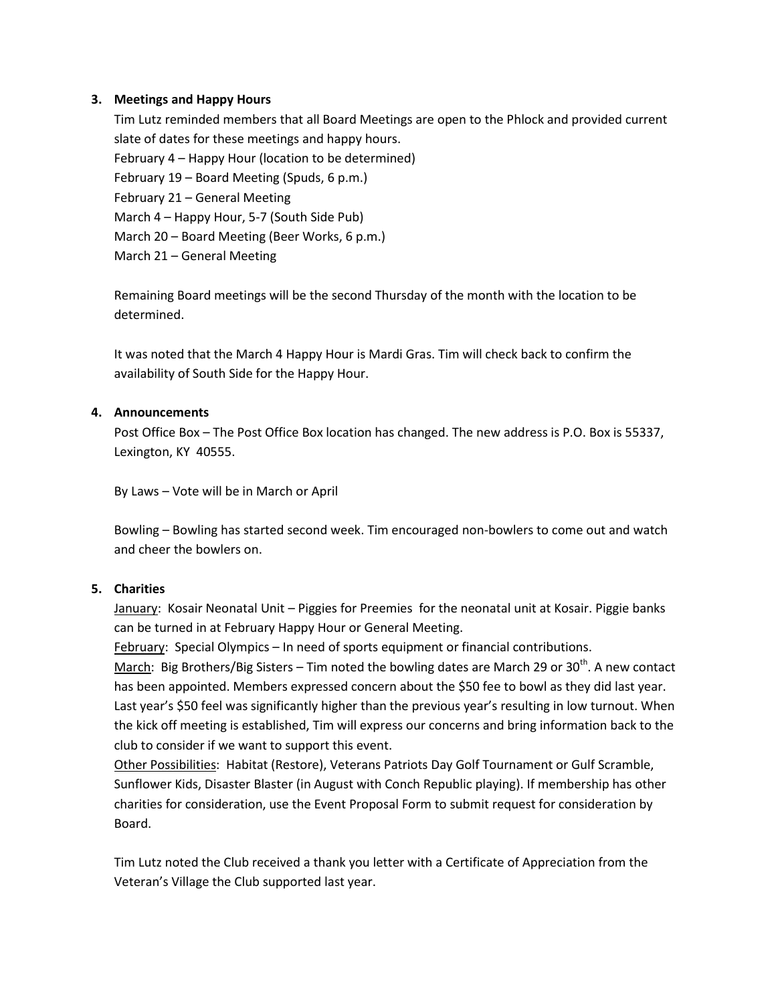#### **3. Meetings and Happy Hours**

Tim Lutz reminded members that all Board Meetings are open to the Phlock and provided current slate of dates for these meetings and happy hours. February 4 – Happy Hour (location to be determined) February 19 – Board Meeting (Spuds, 6 p.m.) February 21 – General Meeting March 4 – Happy Hour, 5-7 (South Side Pub) March 20 – Board Meeting (Beer Works, 6 p.m.) March 21 – General Meeting

Remaining Board meetings will be the second Thursday of the month with the location to be determined.

It was noted that the March 4 Happy Hour is Mardi Gras. Tim will check back to confirm the availability of South Side for the Happy Hour.

#### **4. Announcements**

Post Office Box – The Post Office Box location has changed. The new address is P.O. Box is 55337, Lexington, KY 40555.

By Laws – Vote will be in March or April

Bowling – Bowling has started second week. Tim encouraged non-bowlers to come out and watch and cheer the bowlers on.

## **5. Charities**

January: Kosair Neonatal Unit – Piggies for Preemies for the neonatal unit at Kosair. Piggie banks can be turned in at February Happy Hour or General Meeting.

February: Special Olympics – In need of sports equipment or financial contributions.

March: Big Brothers/Big Sisters – Tim noted the bowling dates are March 29 or 30<sup>th</sup>. A new contact has been appointed. Members expressed concern about the \$50 fee to bowl as they did last year. Last year's \$50 feel was significantly higher than the previous year's resulting in low turnout. When the kick off meeting is established, Tim will express our concerns and bring information back to the club to consider if we want to support this event.

Other Possibilities: Habitat (Restore), Veterans Patriots Day Golf Tournament or Gulf Scramble, Sunflower Kids, Disaster Blaster (in August with Conch Republic playing). If membership has other charities for consideration, use the Event Proposal Form to submit request for consideration by Board.

Tim Lutz noted the Club received a thank you letter with a Certificate of Appreciation from the Veteran's Village the Club supported last year.